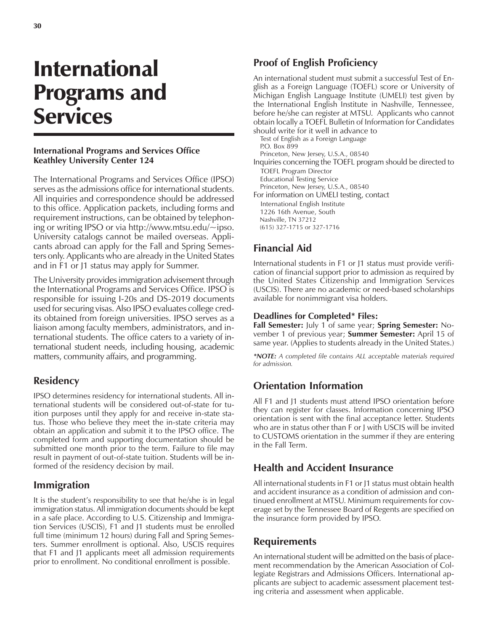# International Programs and **Services**

#### **International Programs and Services Office Keathley University Center 124**

The International Programs and Services Office (IPSO) serves as the admissions office for international students. All inquiries and correspondence should be addressed to this office. Application packets, including forms and requirement instructions, can be obtained by telephoning or writing IPSO or via http://www.mtsu.edu/~ipso. University catalogs cannot be mailed overseas. Applicants abroad can apply for the Fall and Spring Semesters only. Applicants who are already in the United States and in F1 or J1 status may apply for Summer.

The University provides immigration advisement through the International Programs and Services Office. IPSO is responsible for issuing I-20s and DS-2019 documents used for securing visas. Also IPSO evaluates college credits obtained from foreign universities. IPSO serves as a liaison among faculty members, administrators, and international students. The office caters to a variety of international student needs, including housing, academic matters, community affairs, and programming.

## **Residency**

IPSO determines residency for international students. All international students will be considered out-of-state for tuition purposes until they apply for and receive in-state status. Those who believe they meet the in-state criteria may obtain an application and submit it to the IPSO office. The completed form and supporting documentation should be submitted one month prior to the term. Failure to file may result in payment of out-of-state tuition. Students will be informed of the residency decision by mail.

## **Immigration**

It is the student's responsibility to see that he/she is in legal immigration status. All immigration documents should be kept in a safe place. According to U.S. Citizenship and Immigration Services (USCIS), F1 and J1 students must be enrolled full time (minimum 12 hours) during Fall and Spring Semesters. Summer enrollment is optional. Also, USCIS requires that F1 and J1 applicants meet all admission requirements prior to enrollment. No conditional enrollment is possible.

## **Proof of English Proficiency**

An international student must submit a successful Test of English as a Foreign Language (TOEFL) score or University of Michigan English Language Institute (UMELI) test given by the International English Institute in Nashville, Tennessee, before he/she can register at MTSU. Applicants who cannot obtain locally a TOEFL Bulletin of Information for Candidates should write for it well in advance to

Test of English as a Foreign Language P.O. Box 899 Princeton, New Jersey, U.S.A., 08540 Inquiries concerning the TOEFL program should be directed to TOEFL Program Director Educational Testing Service Princeton, New Jersey, U.S.A., 08540 For information on UMELI testing, contact International English Institute 1226 16th Avenue, South Nashville, TN 37212 (615) 327-1715 or 327-1716

## **Financial Aid**

International students in F1 or J1 status must provide verification of financial support prior to admission as required by the United States Citizenship and Immigration Services (USCIS). There are no academic or need-based scholarships available for nonimmigrant visa holders.

#### **Deadlines for Completed\* Files:**

**Fall Semester:** July 1 of same year; **Spring Semester:** November 1 of previous year; **Summer Semester:** April 15 of same year. (Applies to students already in the United States.)

*\*NOTE: A completed file contains ALL acceptable materials required for admission.*

## **Orientation Information**

All F1 and J1 students must attend IPSO orientation before they can register for classes. Information concerning IPSO orientation is sent with the final acceptance letter. Students who are in status other than F or J with USCIS will be invited to CUSTOMS orientation in the summer if they are entering in the Fall Term.

## **Health and Accident Insurance**

All international students in F1 or J1 status must obtain health and accident insurance as a condition of admission and continued enrollment at MTSU. Minimum requirements for coverage set by the Tennessee Board of Regents are specified on the insurance form provided by IPSO.

## **Requirements**

An international student will be admitted on the basis of placement recommendation by the American Association of Collegiate Registrars and Admissions Officers. International applicants are subject to academic assessment placement testing criteria and assessment when applicable.